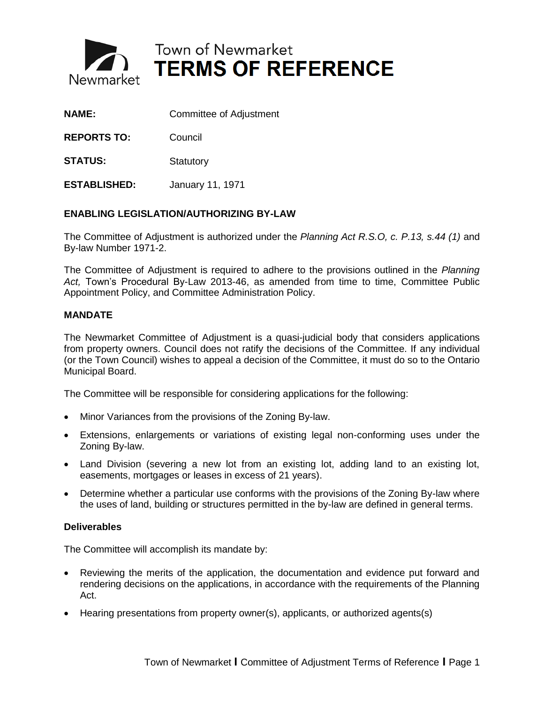

# **Town of Newmarket TERMS OF REFERENCE**

| Committee of Adjustment |
|-------------------------|
|                         |

**REPORTS TO:** Council

**STATUS:** Statutory

**ESTABLISHED:** January 11, 1971

# **ENABLING LEGISLATION/AUTHORIZING BY-LAW**

The Committee of Adjustment is authorized under the *Planning Act R.S.O, c. P.13, s.44 (1)* and By-law Number 1971-2.

The Committee of Adjustment is required to adhere to the provisions outlined in the *Planning Act,* Town's Procedural By-Law 2013-46, as amended from time to time, Committee Public Appointment Policy, and Committee Administration Policy.

# **MANDATE**

The Newmarket Committee of Adjustment is a quasi-judicial body that considers applications from property owners. Council does not ratify the decisions of the Committee. If any individual (or the Town Council) wishes to appeal a decision of the Committee, it must do so to the Ontario Municipal Board.

The Committee will be responsible for considering applications for the following:

- Minor Variances from the provisions of the Zoning By-law.
- Extensions, enlargements or variations of existing legal non-conforming uses under the Zoning By-law.
- Land Division (severing a new lot from an existing lot, adding land to an existing lot, easements, mortgages or leases in excess of 21 years).
- Determine whether a particular use conforms with the provisions of the Zoning By-law where the uses of land, building or structures permitted in the by-law are defined in general terms.

# **Deliverables**

The Committee will accomplish its mandate by:

- Reviewing the merits of the application, the documentation and evidence put forward and rendering decisions on the applications, in accordance with the requirements of the Planning Act.
- Hearing presentations from property owner(s), applicants, or authorized agents(s)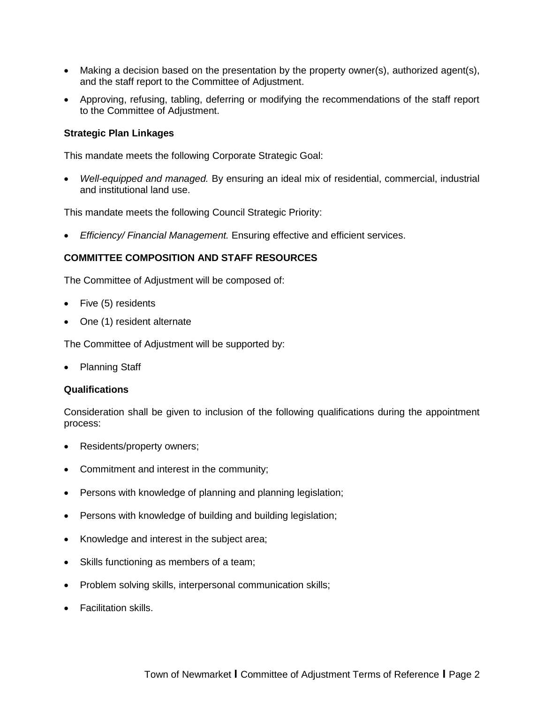- Making a decision based on the presentation by the property owner(s), authorized agent(s), and the staff report to the Committee of Adjustment.
- Approving, refusing, tabling, deferring or modifying the recommendations of the staff report to the Committee of Adjustment.

### **Strategic Plan Linkages**

This mandate meets the following Corporate Strategic Goal:

 *Well-equipped and managed.* By ensuring an ideal mix of residential, commercial, industrial and institutional land use.

This mandate meets the following Council Strategic Priority:

*Efficiency/ Financial Management.* Ensuring effective and efficient services.

# **COMMITTEE COMPOSITION AND STAFF RESOURCES**

The Committee of Adjustment will be composed of:

- Five (5) residents
- One (1) resident alternate

The Committee of Adjustment will be supported by:

• Planning Staff

#### **Qualifications**

Consideration shall be given to inclusion of the following qualifications during the appointment process:

- Residents/property owners;
- Commitment and interest in the community;
- Persons with knowledge of planning and planning legislation;
- Persons with knowledge of building and building legislation;
- Knowledge and interest in the subject area;
- Skills functioning as members of a team;
- Problem solving skills, interpersonal communication skills;
- Facilitation skills.